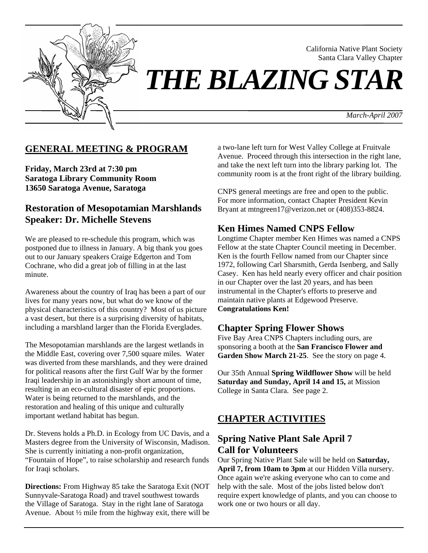

California Native Plant Society Santa Clara Valley Chapter

# *THE BLAZING STAR*

*March-April 2007*

#### **GENERAL MEETING & PROGRAM**

**Friday, March 23rd at 7:30 pm Saratoga Library Community Room 13650 Saratoga Avenue, Saratoga** 

#### **Restoration of Mesopotamian Marshlands Speaker: Dr. Michelle Stevens**

We are pleased to re-schedule this program, which was postponed due to illness in January. A big thank you goes out to our January speakers Craige Edgerton and Tom Cochrane, who did a great job of filling in at the last minute.

Awareness about the country of Iraq has been a part of our lives for many years now, but what do we know of the physical characteristics of this country? Most of us picture a vast desert, but there is a surprising diversity of habitats, including a marshland larger than the Florida Everglades.

The Mesopotamian marshlands are the largest wetlands in the Middle East, covering over 7,500 square miles. Water was diverted from these marshlands, and they were drained for political reasons after the first Gulf War by the former Iraqi leadership in an astonishingly short amount of time, resulting in an eco-cultural disaster of epic proportions. Water is being returned to the marshlands, and the restoration and healing of this unique and culturally important wetland habitat has begun.

Dr. Stevens holds a Ph.D. in Ecology from UC Davis, and a Masters degree from the University of Wisconsin, Madison. She is currently initiating a non-profit organization, "Fountain of Hope", to raise scholarship and research funds for Iraqi scholars.

**Directions:** From Highway 85 take the Saratoga Exit (NOT Sunnyvale-Saratoga Road) and travel southwest towards the Village of Saratoga. Stay in the right lane of Saratoga Avenue. About ½ mile from the highway exit, there will be a two-lane left turn for West Valley College at Fruitvale Avenue. Proceed through this intersection in the right lane, and take the next left turn into the library parking lot. The community room is at the front right of the library building.

CNPS general meetings are free and open to the public. For more information, contact Chapter President Kevin Bryant at mtngreen17@verizon.net or (408)353-8824.

#### **Ken Himes Named CNPS Fellow**

Longtime Chapter member Ken Himes was named a CNPS Fellow at the state Chapter Council meeting in December. Ken is the fourth Fellow named from our Chapter since 1972, following Carl Sharsmith, Gerda Isenberg, and Sally Casey. Ken has held nearly every officer and chair position in our Chapter over the last 20 years, and has been instrumental in the Chapter's efforts to preserve and maintain native plants at Edgewood Preserve. **Congratulations Ken!**

## **Chapter Spring Flower Shows**

Five Bay Area CNPS Chapters including ours, are sponsoring a booth at the **San Francisco Flower and Garden Show March 21-25**. See the story on page 4.

Our 35th Annual **Spring Wildflower Show** will be held **Saturday and Sunday, April 14 and 15,** at Mission College in Santa Clara. See page 2.

## **CHAPTER ACTIVITIES**

## **Spring Native Plant Sale April 7 Call for Volunteers**

Our Spring Native Plant Sale will be held on **Saturday, April 7, from 10am to 3pm** at our Hidden Villa nursery. Once again we're asking everyone who can to come and help with the sale. Most of the jobs listed below don't require expert knowledge of plants, and you can choose to work one or two hours or all day.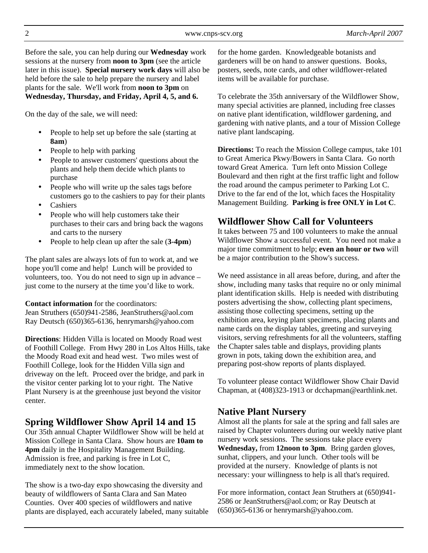Before the sale, you can help during our **Wednesday** work sessions at the nursery from **noon to 3pm** (see the article later in this issue). **Special nursery work days** will also be held before the sale to help prepare the nursery and label plants for the sale. We'll work from **noon to 3pm** on **Wednesday, Thursday, and Friday, April 4, 5, and 6.**

On the day of the sale, we will need:

- People to help set up before the sale (starting at **8am**)
- People to help with parking
- People to answer customers' questions about the plants and help them decide which plants to purchase
- People who will write up the sales tags before customers go to the cashiers to pay for their plants
- Cashiers
- People who will help customers take their purchases to their cars and bring back the wagons and carts to the nursery
- People to help clean up after the sale (**3-4pm**)

The plant sales are always lots of fun to work at, and we hope you'll come and help! Lunch will be provided to volunteers, too. You do not need to sign up in advance – just come to the nursery at the time you'd like to work.

**Contact information** for the coordinators:

Jean Struthers (650)941-2586, JeanStruthers@aol.com Ray Deutsch (650)365-6136, henrymarsh@yahoo.com

**Directions**: Hidden Villa is located on Moody Road west of Foothill College. From Hwy 280 in Los Altos Hills, take the Moody Road exit and head west. Two miles west of Foothill College, look for the Hidden Villa sign and driveway on the left. Proceed over the bridge, and park in the visitor center parking lot to your right. The Native Plant Nursery is at the greenhouse just beyond the visitor center.

# **Spring Wildflower Show April 14 and 15**

Our 35th annual Chapter Wildflower Show will be held at Mission College in Santa Clara. Show hours are **10am to 4pm** daily in the Hospitality Management Building. Admission is free, and parking is free in Lot C, immediately next to the show location.

The show is a two-day expo showcasing the diversity and beauty of wildflowers of Santa Clara and San Mateo Counties. Over 400 species of wildflowers and native plants are displayed, each accurately labeled, many suitable for the home garden. Knowledgeable botanists and gardeners will be on hand to answer questions. Books, posters, seeds, note cards, and other wildflower-related items will be available for purchase.

To celebrate the 35th anniversary of the Wildflower Show, many special activities are planned, including free classes on native plant identification, wildflower gardening, and gardening with native plants, and a tour of Mission College native plant landscaping.

**Directions:** To reach the Mission College campus, take 101 to Great America Pkwy/Bowers in Santa Clara. Go north toward Great America. Turn left onto Mission College Boulevard and then right at the first traffic light and follow the road around the campus perimeter to Parking Lot C. Drive to the far end of the lot, which faces the Hospitality Management Building. **Parking is free ONLY in Lot C**.

## **Wildflower Show Call for Volunteers**

It takes between 75 and 100 volunteers to make the annual Wildflower Show a successful event. You need not make a major time commitment to help; **even an hour or two** will be a major contribution to the Show's success.

We need assistance in all areas before, during, and after the show, including many tasks that require no or only minimal plant identification skills. Help is needed with distributing posters advertising the show, collecting plant specimens, assisting those collecting specimens, setting up the exhibition area, keying plant specimens, placing plants and name cards on the display tables, greeting and surveying visitors, serving refreshments for all the volunteers, staffing the Chapter sales table and displays, providing plants grown in pots, taking down the exhibition area, and preparing post-show reports of plants displayed.

To volunteer please contact Wildflower Show Chair David Chapman, at (408)323-1913 or dcchapman@earthlink.net.

# **Native Plant Nursery**

Almost all the plants for sale at the spring and fall sales are raised by Chapter volunteers during our weekly native plant nursery work sessions. The sessions take place every **Wednesday,** from **12noon to 3pm**. Bring garden gloves, sunhat, clippers, and your lunch. Other tools will be provided at the nursery. Knowledge of plants is not necessary: your willingness to help is all that's required.

For more information, contact Jean Struthers at (650)941- 2586 or JeanStruthers@aol.com; or Ray Deutsch at (650)365-6136 or henrymarsh@yahoo.com.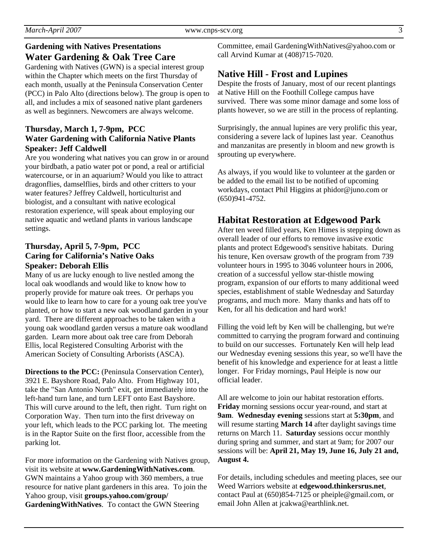# **Gardening with Natives Presentations Water Gardening & Oak Tree Care**

Gardening with Natives (GWN) is a special interest group within the Chapter which meets on the first Thursday of each month, usually at the Peninsula Conservation Center (PCC) in Palo Alto (directions below). The group is open to all, and includes a mix of seasoned native plant gardeners as well as beginners. Newcomers are always welcome.

#### **Thursday, March 1, 7-9pm, PCC Water Gardening with California Native Plants Speaker: Jeff Caldwell**

Are you wondering what natives you can grow in or around your birdbath, a patio water pot or pond, a real or artificial watercourse, or in an aquarium? Would you like to attract dragonflies, damselflies, birds and other critters to your water features? Jeffrey Caldwell, horticulturist and biologist, and a consultant with native ecological restoration experience, will speak about employing our native aquatic and wetland plants in various landscape settings.

#### **Thursday, April 5, 7-9pm, PCC Caring for California's Native Oaks Speaker: Deborah Ellis**

Many of us are lucky enough to live nestled among the local oak woodlands and would like to know how to properly provide for mature oak trees. Or perhaps you would like to learn how to care for a young oak tree you've planted, or how to start a new oak woodland garden in your yard. There are different approaches to be taken with a young oak woodland garden versus a mature oak woodland garden. Learn more about oak tree care from Deborah Ellis, local Registered Consulting Arborist with the American Society of Consulting Arborists (ASCA).

**Directions to the PCC:** (Peninsula Conservation Center), 3921 E. Bayshore Road, Palo Alto. From Highway 101, take the "San Antonio North" exit, get immediately into the left-hand turn lane, and turn LEFT onto East Bayshore. This will curve around to the left, then right. Turn right on Corporation Way. Then turn into the first driveway on your left, which leads to the PCC parking lot. The meeting is in the Raptor Suite on the first floor, accessible from the parking lot.

For more information on the Gardening with Natives group, visit its website at **www.GardeningWithNatives.com**. GWN maintains a Yahoo group with 360 members, a true resource for native plant gardeners in this area. To join the Yahoo group, visit **groups.yahoo.com/group/ GardeningWithNatives**. To contact the GWN Steering

Committee, email GardeningWithNatives@yahoo.com or call Arvind Kumar at (408)715-7020.

# **Native Hill - Frost and Lupines**

Despite the frosts of January, most of our recent plantings at Native Hill on the Foothill College campus have survived. There was some minor damage and some loss of plants however, so we are still in the process of replanting.

Surprisingly, the annual lupines are very prolific this year, considering a severe lack of lupines last year. Ceanothus and manzanitas are presently in bloom and new growth is sprouting up everywhere.

As always, if you would like to volunteer at the garden or be added to the email list to be notified of upcoming workdays, contact Phil Higgins at phidor@juno.com or (650)941-4752.

# **Habitat Restoration at Edgewood Park**

After ten weed filled years, Ken Himes is stepping down as overall leader of our efforts to remove invasive exotic plants and protect Edgewood's sensitive habitats. During his tenure, Ken oversaw growth of the program from 739 volunteer hours in 1995 to 3046 volunteer hours in 2006, creation of a successful yellow star-thistle mowing program, expansion of our efforts to many additional weed species, establishment of stable Wednesday and Saturday programs, and much more. Many thanks and hats off to Ken, for all his dedication and hard work!

Filling the void left by Ken will be challenging, but we're committed to carrying the program forward and continuing to build on our successes. Fortunately Ken will help lead our Wednesday evening sessions this year, so we'll have the benefit of his knowledge and experience for at least a little longer. For Friday mornings, Paul Heiple is now our official leader.

All are welcome to join our habitat restoration efforts. **Friday** morning sessions occur year-round, and start at **9am**. **Wednesday evening** sessions start at **5:30pm**, and will resume starting **March 14** after daylight savings time returns on March 11. **Saturday** sessions occur monthly during spring and summer, and start at 9am; for 2007 our sessions will be: **April 21, May 19, June 16, July 21 and, August 4.** 

For details, including schedules and meeting places, see our Weed Warriors website at **edgewood.thinkersrus.net**, contact Paul at (650)854-7125 or pheiple@gmail.com, or email John Allen at jcakwa@earthlink.net.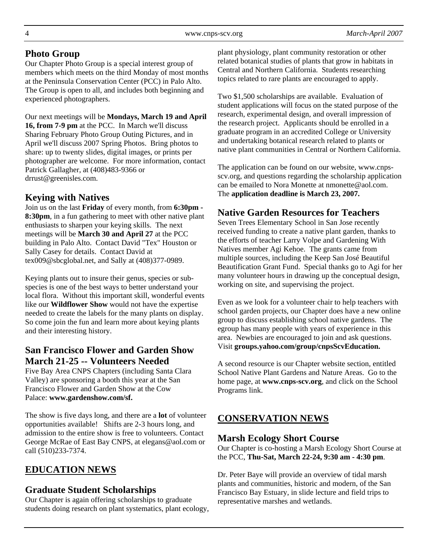## **Photo Group**

Our Chapter Photo Group is a special interest group of members which meets on the third Monday of most months at the Peninsula Conservation Center (PCC) in Palo Alto. The Group is open to all, and includes both beginning and experienced photographers.

Our next meetings will be **Mondays, March 19 and April 16, from 7-9 pm** at the PCC. In March we'll discuss Sharing February Photo Group Outing Pictures, and in April we'll discuss 2007 Spring Photos. Bring photos to share: up to twenty slides, digital images, or prints per photographer are welcome. For more information, contact Patrick Gallagher, at (408)483-9366 or drrust@greenisles.com.

# **Keying with Natives**

Join us on the last **Friday** of every month, from **6:30pm - 8:30pm**, in a fun gathering to meet with other native plant enthusiasts to sharpen your keying skills. The next meetings will be **March 30 and April 27** at the PCC building in Palo Alto. Contact David "Tex" Houston or Sally Casey for details. Contact David at tex009@sbcglobal.net, and Sally at (408)377-0989.

Keying plants out to insure their genus, species or subspecies is one of the best ways to better understand your local flora. Without this important skill, wonderful events like our **Wildflower Show** would not have the expertise needed to create the labels for the many plants on display. So come join the fun and learn more about keying plants and their interesting history.

## **San Francisco Flower and Garden Show March 21-25 -- Volunteers Needed**

Five Bay Area CNPS Chapters (including Santa Clara Valley) are sponsoring a booth this year at the San Francisco Flower and Garden Show at the Cow Palace: **www.gardenshow.com/sf.**

The show is five days long, and there are a **lot** of volunteer opportunities available! Shifts are 2-3 hours long, and admission to the entire show is free to volunteers. Contact George McRae of East Bay CNPS, at elegans@aol.com or call (510)233-7374.

# **EDUCATION NEWS**

# **Graduate Student Scholarships**

Our Chapter is again offering scholarships to graduate students doing research on plant systematics, plant ecology,

plant physiology, plant community restoration or other related botanical studies of plants that grow in habitats in Central and Northern California. Students researching topics related to rare plants are encouraged to apply.

Two \$1,500 scholarships are available. Evaluation of student applications will focus on the stated purpose of the research, experimental design, and overall impression of the research project. Applicants should be enrolled in a graduate program in an accredited College or University and undertaking botanical research related to plants or native plant communities in Central or Northern California.

The application can be found on our website, www.cnpsscv.org, and questions regarding the scholarship application can be emailed to Nora Monette at nmonette@aol.com. The **application deadline is March 23, 2007.** 

# **Native Garden Resources for Teachers**

Seven Trees Elementary School in San Jose recently received funding to create a native plant garden, thanks to the efforts of teacher Larry Volpe and Gardening With Natives member Agi Kehoe. The grants came from multiple sources, including the Keep San José Beautiful Beautification Grant Fund. Special thanks go to Agi for her many volunteer hours in drawing up the conceptual design, working on site, and supervising the project.

Even as we look for a volunteer chair to help teachers with school garden projects, our Chapter does have a new online group to discuss establishing school native gardens. The egroup has many people with years of experience in this area. Newbies are encouraged to join and ask questions. Visit **groups.yahoo.com/group/cnpsScvEducation.**

A second resource is our Chapter website section, entitled School Native Plant Gardens and Nature Areas. Go to the home page, at **www.cnps-scv.org**, and click on the School Programs link.

# **CONSERVATION NEWS**

#### **Marsh Ecology Short Course**

Our Chapter is co-hosting a Marsh Ecology Short Course at the PCC, **Thu-Sat, March 22-24, 9:30 am - 4:30 pm**.

Dr. Peter Baye will provide an overview of tidal marsh plants and communities, historic and modern, of the San Francisco Bay Estuary, in slide lecture and field trips to representative marshes and wetlands.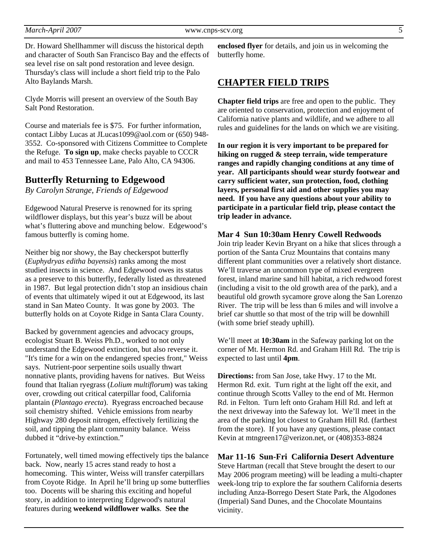Dr. Howard Shellhammer will discuss the historical depth and character of South San Francisco Bay and the effects of sea level rise on salt pond restoration and levee design. Thursday's class will include a short field trip to the Palo Alto Baylands Marsh.

Clyde Morris will present an overview of the South Bay Salt Pond Restoration.

Course and materials fee is \$75. For further information, contact Libby Lucas at JLucas1099@aol.com or (650) 948- 3552. Co-sponsored with Citizens Committee to Complete the Refuge. **To sign up**, make checks payable to CCCR and mail to 453 Tennessee Lane, Palo Alto, CA 94306.

#### **Butterfly Returning to Edgewood**

*By Carolyn Strange, Friends of Edgewood* 

Edgewood Natural Preserve is renowned for its spring wildflower displays, but this year's buzz will be about what's fluttering above and munching below. Edgewood's famous butterfly is coming home.

Neither big nor showy, the Bay checkerspot butterfly (*Euphydryas editha bayensis*) ranks among the most studied insects in science. And Edgewood owes its status as a preserve to this butterfly, federally listed as threatened in 1987. But legal protection didn't stop an insidious chain of events that ultimately wiped it out at Edgewood, its last stand in San Mateo County. It was gone by 2003. The butterfly holds on at Coyote Ridge in Santa Clara County.

Backed by government agencies and advocacy groups, ecologist Stuart B. Weiss Ph.D., worked to not only understand the Edgewood extinction, but also reverse it. "It's time for a win on the endangered species front," Weiss says. Nutrient-poor serpentine soils usually thwart nonnative plants, providing havens for natives. But Weiss found that Italian ryegrass (*Lolium multiflorum*) was taking over, crowding out critical caterpillar food, California plantain (*Plantago erecta*). Ryegrass encroached because soil chemistry shifted. Vehicle emissions from nearby Highway 280 deposit nitrogen, effectively fertilizing the soil, and tipping the plant community balance. Weiss dubbed it "drive-by extinction."

Fortunately, well timed mowing effectively tips the balance back. Now, nearly 15 acres stand ready to host a homecoming. This winter, Weiss will transfer caterpillars from Coyote Ridge. In April he'll bring up some butterflies too. Docents will be sharing this exciting and hopeful story, in addition to interpreting Edgewood's natural features during **weekend wildflower walks**. **See the** 

**enclosed flyer** for details, and join us in welcoming the butterfly home.

#### **CHAPTER FIELD TRIPS**

**Chapter field trips** are free and open to the public. They are oriented to conservation, protection and enjoyment of California native plants and wildlife, and we adhere to all rules and guidelines for the lands on which we are visiting.

**In our region it is very important to be prepared for hiking on rugged & steep terrain, wide temperature ranges and rapidly changing conditions at any time of year. All participants should wear sturdy footwear and carry sufficient water, sun protection, food, clothing layers, personal first aid and other supplies you may need. If you have any questions about your ability to participate in a particular field trip, please contact the trip leader in advance.** 

#### **Mar 4 Sun 10:30am Henry Cowell Redwoods**

Join trip leader Kevin Bryant on a hike that slices through a portion of the Santa Cruz Mountains that contains many different plant communities over a relatively short distance. We'll traverse an uncommon type of mixed evergreen forest, inland marine sand hill habitat, a rich redwood forest (including a visit to the old growth area of the park), and a beautiful old growth sycamore grove along the San Lorenzo River. The trip will be less than 6 miles and will involve a brief car shuttle so that most of the trip will be downhill (with some brief steady uphill).

We'll meet at **10:30am** in the Safeway parking lot on the corner of Mt. Hermon Rd. and Graham Hill Rd. The trip is expected to last until **4pm**.

**Directions:** from San Jose, take Hwy. 17 to the Mt. Hermon Rd. exit. Turn right at the light off the exit, and continue through Scotts Valley to the end of Mt. Hermon Rd. in Felton. Turn left onto Graham Hill Rd. and left at the next driveway into the Safeway lot. We'll meet in the area of the parking lot closest to Graham Hill Rd. (farthest from the store). If you have any questions, please contact Kevin at mtngreen17@verizon.net, or (408)353-8824

**Mar 11-16 Sun-Fri California Desert Adventure** 

Steve Hartman (recall that Steve brought the desert to our May 2006 program meeting) will be leading a multi-chapter week-long trip to explore the far southern California deserts including Anza-Borrego Desert State Park, the Algodones (Imperial) Sand Dunes, and the Chocolate Mountains vicinity.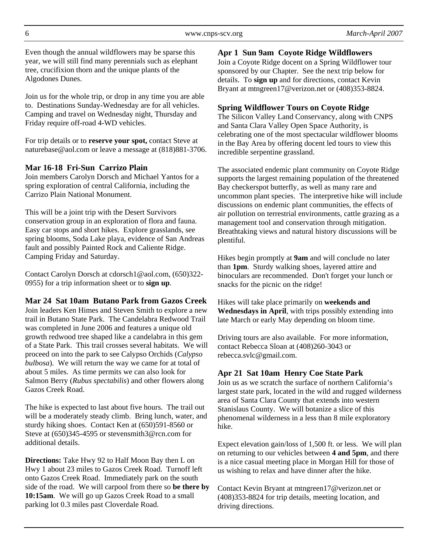Even though the annual wildflowers may be sparse this year, we will still find many perennials such as elephant tree, crucifixion thorn and the unique plants of the Algodones Dunes.

Join us for the whole trip, or drop in any time you are able to. Destinations Sunday-Wednesday are for all vehicles. Camping and travel on Wednesday night, Thursday and Friday require off-road 4-WD vehicles.

For trip details or to **reserve your spot,** contact Steve at naturebase@aol.com or leave a message at (818)881-3706.

#### **Mar 16-18 Fri-Sun Carrizo Plain**

Join members Carolyn Dorsch and Michael Yantos for a spring exploration of central California, including the Carrizo Plain National Monument.

This will be a joint trip with the Desert Survivors conservation group in an exploration of flora and fauna. Easy car stops and short hikes. Explore grasslands, see spring blooms, Soda Lake playa, evidence of San Andreas fault and possibly Painted Rock and Caliente Ridge. Camping Friday and Saturday.

Contact Carolyn Dorsch at cdorsch1@aol.com, (650)322- 0955) for a trip information sheet or to **sign up**.

**Mar 24 Sat 10am Butano Park from Gazos Creek**  Join leaders Ken Himes and Steven Smith to explore a new trail in Butano State Park. The Candelabra Redwood Trail was completed in June 2006 and features a unique old growth redwood tree shaped like a candelabra in this gem of a State Park. This trail crosses several habitats. We will proceed on into the park to see Calypso Orchids (*Calypso bulbosa*). We will return the way we came for at total of about 5 miles. As time permits we can also look for Salmon Berry (*Rubus spectabilis*) and other flowers along Gazos Creek Road.

The hike is expected to last about five hours. The trail out will be a moderately steady climb. Bring lunch, water, and sturdy hiking shoes. Contact Ken at (650)591-8560 or Steve at (650)345-4595 or stevensmith3@rcn.com for additional details.

**Directions:** Take Hwy 92 to Half Moon Bay then L on Hwy 1 about 23 miles to Gazos Creek Road. Turnoff left onto Gazos Creek Road. Immediately park on the south side of the road. We will carpool from there so **be there by 10:15am**. We will go up Gazos Creek Road to a small parking lot 0.3 miles past Cloverdale Road.

**Apr 1 Sun 9am Coyote Ridge Wildflowers** 

Join a Coyote Ridge docent on a Spring Wildflower tour sponsored by our Chapter. See the next trip below for details. To **sign up** and for directions, contact Kevin Bryant at mtngreen17@verizon.net or (408)353-8824.

#### **Spring Wildflower Tours on Coyote Ridge**

The Silicon Valley Land Conservancy, along with CNPS and Santa Clara Valley Open Space Authority, is celebrating one of the most spectacular wildflower blooms in the Bay Area by offering docent led tours to view this incredible serpentine grassland.

The associated endemic plant community on Coyote Ridge supports the largest remaining population of the threatened Bay checkerspot butterfly, as well as many rare and uncommon plant species. The interpretive hike will include discussions on endemic plant communities, the effects of air pollution on terrestrial environments, cattle grazing as a management tool and conservation through mitigation. Breathtaking views and natural history discussions will be plentiful.

Hikes begin promptly at **9am** and will conclude no later than **1pm**. Sturdy walking shoes, layered attire and binoculars are recommended. Don't forget your lunch or snacks for the picnic on the ridge!

Hikes will take place primarily on **weekends and Wednesdays in April**, with trips possibly extending into late March or early May depending on bloom time.

Driving tours are also available. For more information, contact Rebecca Sloan at (408)260-3043 or rebecca.svlc@gmail.com.

#### **Apr 21 Sat 10am Henry Coe State Park**

Join us as we scratch the surface of northern California's largest state park, located in the wild and rugged wilderness area of Santa Clara County that extends into western Stanislaus County. We will botanize a slice of this phenomenal wilderness in a less than 8 mile exploratory hike.

Expect elevation gain/loss of 1,500 ft. or less. We will plan on returning to our vehicles between **4 and 5pm**, and there is a nice casual meeting place in Morgan Hill for those of us wishing to relax and have dinner after the hike.

Contact Kevin Bryant at mtngreen17@verizon.net or (408)353-8824 for trip details, meeting location, and driving directions.